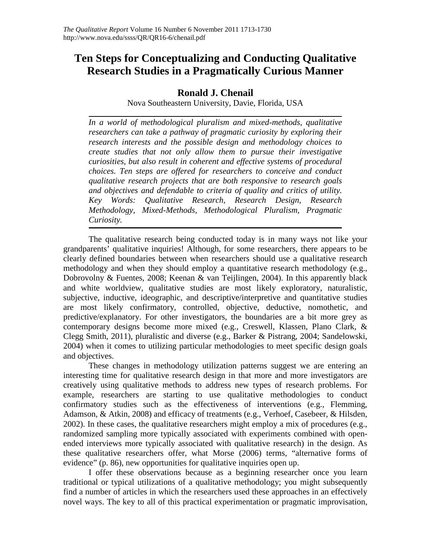# **Ten Steps for Conceptualizing and Conducting Qualitative Research Studies in a Pragmatically Curious Manner**

# **Ronald J. Chenail**

Nova Southeastern University, Davie, Florida, USA

*In a world of methodological pluralism and mixed-methods, qualitative researchers can take a pathway of pragmatic curiosity by exploring their research interests and the possible design and methodology choices to create studies that not only allow them to pursue their investigative curiosities, but also result in coherent and effective systems of procedural choices. Ten steps are offered for researchers to conceive and conduct qualitative research projects that are both responsive to research goals and objectives and defendable to criteria of quality and critics of utility. Key Words: Qualitative Research, Research Design, Research Methodology, Mixed-Methods, Methodological Pluralism, Pragmatic Curiosity.*

The qualitative research being conducted today is in many ways not like your grandparents' qualitative inquiries! Although, for some researchers, there appears to be clearly defined boundaries between when researchers should use a qualitative research methodology and when they should employ a quantitative research methodology (e.g., Dobrovolny & Fuentes, 2008; Keenan & van Teijlingen, 2004). In this apparently black and white worldview, qualitative studies are most likely exploratory, naturalistic, subjective, inductive, ideographic, and descriptive/interpretive and quantitative studies are most likely confirmatory, controlled, objective, deductive, nomothetic, and predictive/explanatory. For other investigators, the boundaries are a bit more grey as contemporary designs become more mixed (e.g., Creswell, Klassen, Plano Clark, & Clegg Smith, 2011), pluralistic and diverse (e.g., Barker & Pistrang, 2004; Sandelowski, 2004) when it comes to utilizing particular methodologies to meet specific design goals and objectives.

These changes in methodology utilization patterns suggest we are entering an interesting time for qualitative research design in that more and more investigators are creatively using qualitative methods to address new types of research problems. For example, researchers are starting to use qualitative methodologies to conduct confirmatory studies such as the effectiveness of interventions (e.g., Flemming, Adamson, & Atkin, 2008) and efficacy of treatments (e.g., Verhoef, Casebeer, & Hilsden, 2002). In these cases, the qualitative researchers might employ a mix of procedures (e.g., randomized sampling more typically associated with experiments combined with openended interviews more typically associated with qualitative research) in the design. As these qualitative researchers offer, what Morse (2006) terms, "alternative forms of evidence" (p. 86), new opportunities for qualitative inquiries open up.

I offer these observations because as a beginning researcher once you learn traditional or typical utilizations of a qualitative methodology; you might subsequently find a number of articles in which the researchers used these approaches in an effectively novel ways. The key to all of this practical experimentation or pragmatic improvisation,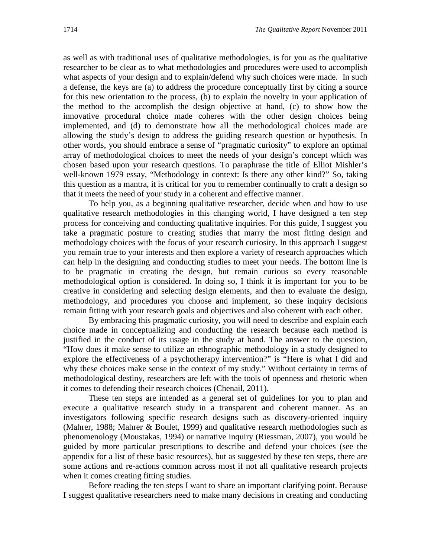as well as with traditional uses of qualitative methodologies, is for you as the qualitative researcher to be clear as to what methodologies and procedures were used to accomplish what aspects of your design and to explain/defend why such choices were made. In such a defense, the keys are (a) to address the procedure conceptually first by citing a source for this new orientation to the process, (b) to explain the novelty in your application of the method to the accomplish the design objective at hand, (c) to show how the innovative procedural choice made coheres with the other design choices being implemented, and (d) to demonstrate how all the methodological choices made are allowing the study's design to address the guiding research question or hypothesis. In other words, you should embrace a sense of "pragmatic curiosity" to explore an optimal array of methodological choices to meet the needs of your design's concept which was chosen based upon your research questions. To paraphrase the title of Elliot Mishler's well-known 1979 essay, "Methodology in context: Is there any other kind?" So, taking this question as a mantra, it is critical for you to remember continually to craft a design so that it meets the need of your study in a coherent and effective manner.

To help you, as a beginning qualitative researcher, decide when and how to use qualitative research methodologies in this changing world, I have designed a ten step process for conceiving and conducting qualitative inquiries. For this guide, I suggest you take a pragmatic posture to creating studies that marry the most fitting design and methodology choices with the focus of your research curiosity. In this approach I suggest you remain true to your interests and then explore a variety of research approaches which can help in the designing and conducting studies to meet your needs. The bottom line is to be pragmatic in creating the design, but remain curious so every reasonable methodological option is considered. In doing so, I think it is important for you to be creative in considering and selecting design elements, and then to evaluate the design, methodology, and procedures you choose and implement, so these inquiry decisions remain fitting with your research goals and objectives and also coherent with each other.

By embracing this pragmatic curiosity, you will need to describe and explain each choice made in conceptualizing and conducting the research because each method is justified in the conduct of its usage in the study at hand. The answer to the question, "How does it make sense to utilize an ethnographic methodology in a study designed to explore the effectiveness of a psychotherapy intervention?" is "Here is what I did and why these choices make sense in the context of my study." Without certainty in terms of methodological destiny, researchers are left with the tools of openness and rhetoric when it comes to defending their research choices (Chenail, 2011).

These ten steps are intended as a general set of guidelines for you to plan and execute a qualitative research study in a transparent and coherent manner. As an investigators following specific research designs such as discovery-oriented inquiry (Mahrer, 1988; Mahrer & Boulet, 1999) and qualitative research methodologies such as phenomenology (Moustakas, 1994) or narrative inquiry (Riessman, 2007), you would be guided by more particular prescriptions to describe and defend your choices (see the appendix for a list of these basic resources), but as suggested by these ten steps, there are some actions and re-actions common across most if not all qualitative research projects when it comes creating fitting studies.

Before reading the ten steps I want to share an important clarifying point. Because I suggest qualitative researchers need to make many decisions in creating and conducting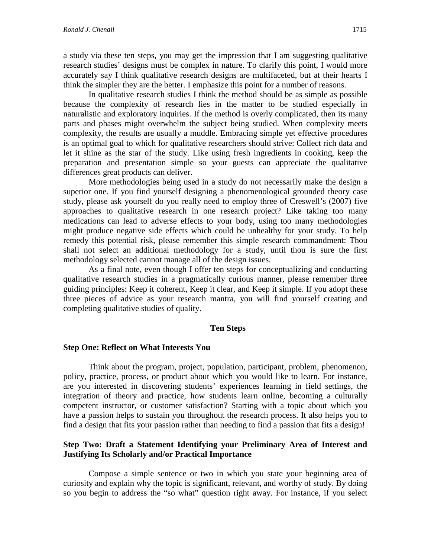a study via these ten steps, you may get the impression that I am suggesting qualitative research studies' designs must be complex in nature. To clarify this point, I would more accurately say I think qualitative research designs are multifaceted, but at their hearts I think the simpler they are the better. I emphasize this point for a number of reasons.

In qualitative research studies I think the method should be as simple as possible because the complexity of research lies in the matter to be studied especially in naturalistic and exploratory inquiries. If the method is overly complicated, then its many parts and phases might overwhelm the subject being studied. When complexity meets complexity, the results are usually a muddle. Embracing simple yet effective procedures is an optimal goal to which for qualitative researchers should strive: Collect rich data and let it shine as the star of the study. Like using fresh ingredients in cooking, keep the preparation and presentation simple so your guests can appreciate the qualitative differences great products can deliver.

More methodologies being used in a study do not necessarily make the design a superior one. If you find yourself designing a phenomenological grounded theory case study, please ask yourself do you really need to employ three of Creswell's (2007) five approaches to qualitative research in one research project? Like taking too many medications can lead to adverse effects to your body, using too many methodologies might produce negative side effects which could be unhealthy for your study. To help remedy this potential risk, please remember this simple research commandment: Thou shall not select an additional methodology for a study, until thou is sure the first methodology selected cannot manage all of the design issues.

As a final note, even though I offer ten steps for conceptualizing and conducting qualitative research studies in a pragmatically curious manner, please remember three guiding principles: Keep it coherent, Keep it clear, and Keep it simple. If you adopt these three pieces of advice as your research mantra, you will find yourself creating and completing qualitative studies of quality.

#### **Ten Steps**

#### **Step One: Reflect on What Interests You**

Think about the program, project, population, participant, problem, phenomenon, policy, practice, process, or product about which you would like to learn. For instance, are you interested in discovering students' experiences learning in field settings, the integration of theory and practice, how students learn online, becoming a culturally competent instructor, or customer satisfaction? Starting with a topic about which you have a passion helps to sustain you throughout the research process. It also helps you to find a design that fits your passion rather than needing to find a passion that fits a design!

# **Step Two: Draft a Statement Identifying your Preliminary Area of Interest and Justifying Its Scholarly and/or Practical Importance**

Compose a simple sentence or two in which you state your beginning area of curiosity and explain why the topic is significant, relevant, and worthy of study. By doing so you begin to address the "so what" question right away. For instance, if you select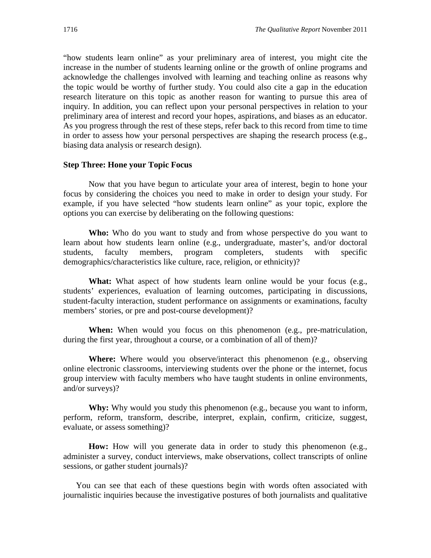"how students learn online" as your preliminary area of interest, you might cite the increase in the number of students learning online or the growth of online programs and acknowledge the challenges involved with learning and teaching online as reasons why the topic would be worthy of further study. You could also cite a gap in the education research literature on this topic as another reason for wanting to pursue this area of inquiry. In addition, you can reflect upon your personal perspectives in relation to your preliminary area of interest and record your hopes, aspirations, and biases as an educator. As you progress through the rest of these steps, refer back to this record from time to time in order to assess how your personal perspectives are shaping the research process (e.g., biasing data analysis or research design).

#### **Step Three: Hone your Topic Focus**

Now that you have begun to articulate your area of interest, begin to hone your focus by considering the choices you need to make in order to design your study. For example, if you have selected "how students learn online" as your topic, explore the options you can exercise by deliberating on the following questions:

**Who:** Who do you want to study and from whose perspective do you want to learn about how students learn online (e.g., undergraduate, master's, and/or doctoral students, faculty members, program completers, students with specific demographics/characteristics like culture, race, religion, or ethnicity)?

What: What aspect of how students learn online would be your focus (e.g., students' experiences, evaluation of learning outcomes, participating in discussions, student-faculty interaction, student performance on assignments or examinations, faculty members' stories, or pre and post-course development)?

**When:** When would you focus on this phenomenon (e.g., pre-matriculation, during the first year, throughout a course, or a combination of all of them)?

**Where:** Where would you observe/interact this phenomenon (e.g., observing online electronic classrooms, interviewing students over the phone or the internet, focus group interview with faculty members who have taught students in online environments, and/or surveys)?

**Why:** Why would you study this phenomenon (e.g., because you want to inform, perform, reform, transform, describe, interpret, explain, confirm, criticize, suggest, evaluate, or assess something)?

How: How will you generate data in order to study this phenomenon (e.g., administer a survey, conduct interviews, make observations, collect transcripts of online sessions, or gather student journals)?

You can see that each of these questions begin with words often associated with journalistic inquiries because the investigative postures of both journalists and qualitative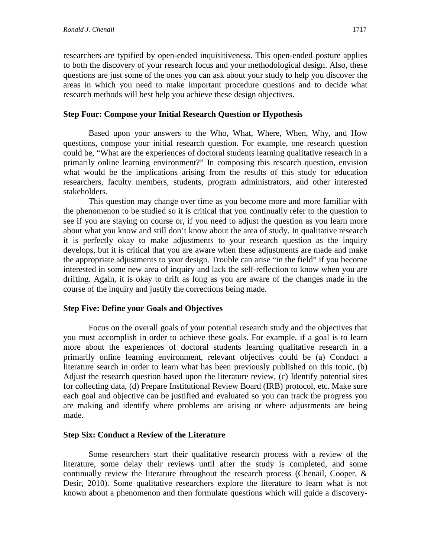researchers are typified by open-ended inquisitiveness. This open-ended posture applies to both the discovery of your research focus and your methodological design. Also, these questions are just some of the ones you can ask about your study to help you discover the areas in which you need to make important procedure questions and to decide what research methods will best help you achieve these design objectives.

# **Step Four: Compose your Initial Research Question or Hypothesis**

Based upon your answers to the Who, What, Where, When, Why, and How questions, compose your initial research question. For example, one research question could be, "What are the experiences of doctoral students learning qualitative research in a primarily online learning environment?" In composing this research question, envision what would be the implications arising from the results of this study for education researchers, faculty members, students, program administrators, and other interested stakeholders.

This question may change over time as you become more and more familiar with the phenomenon to be studied so it is critical that you continually refer to the question to see if you are staying on course or, if you need to adjust the question as you learn more about what you know and still don't know about the area of study. In qualitative research it is perfectly okay to make adjustments to your research question as the inquiry develops, but it is critical that you are aware when these adjustments are made and make the appropriate adjustments to your design. Trouble can arise "in the field" if you become interested in some new area of inquiry and lack the self-reflection to know when you are drifting. Again, it is okay to drift as long as you are aware of the changes made in the course of the inquiry and justify the corrections being made.

# **Step Five: Define your Goals and Objectives**

Focus on the overall goals of your potential research study and the objectives that you must accomplish in order to achieve these goals. For example, if a goal is to learn more about the experiences of doctoral students learning qualitative research in a primarily online learning environment, relevant objectives could be (a) Conduct a literature search in order to learn what has been previously published on this topic, (b) Adjust the research question based upon the literature review, (c) Identify potential sites for collecting data, (d) Prepare Institutional Review Board (IRB) protocol, etc. Make sure each goal and objective can be justified and evaluated so you can track the progress you are making and identify where problems are arising or where adjustments are being made.

# **Step Six: Conduct a Review of the Literature**

Some researchers start their qualitative research process with a review of the literature, some delay their reviews until after the study is completed, and some continually review the literature throughout the research process (Chenail, Cooper, & Desir, 2010). Some qualitative researchers explore the literature to learn what is not known about a phenomenon and then formulate questions which will guide a discovery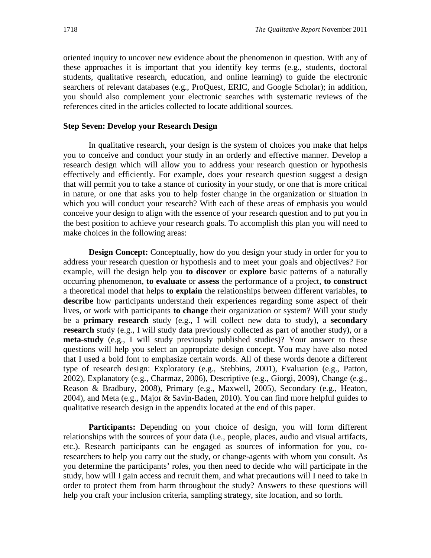oriented inquiry to uncover new evidence about the phenomenon in question. With any of these approaches it is important that you identify key terms (e.g., students, doctoral students, qualitative research, education, and online learning) to guide the electronic searchers of relevant databases (e.g., ProQuest, ERIC, and Google Scholar); in addition, you should also complement your electronic searches with systematic reviews of the references cited in the articles collected to locate additional sources.

#### **Step Seven: Develop your Research Design**

In qualitative research, your design is the system of choices you make that helps you to conceive and conduct your study in an orderly and effective manner. Develop a research design which will allow you to address your research question or hypothesis effectively and efficiently. For example, does your research question suggest a design that will permit you to take a stance of curiosity in your study, or one that is more critical in nature, or one that asks you to help foster change in the organization or situation in which you will conduct your research? With each of these areas of emphasis you would conceive your design to align with the essence of your research question and to put you in the best position to achieve your research goals. To accomplish this plan you will need to make choices in the following areas:

**Design Concept:** Conceptually, how do you design your study in order for you to address your research question or hypothesis and to meet your goals and objectives? For example, will the design help you **to discover** or **explore** basic patterns of a naturally occurring phenomenon, **to evaluate** or **assess** the performance of a project, **to construct** a theoretical model that helps **to explain** the relationships between different variables, **to describe** how participants understand their experiences regarding some aspect of their lives, or work with participants **to change** their organization or system? Will your study be a **primary research** study (e.g., I will collect new data to study), a **secondary research** study (e.g., I will study data previously collected as part of another study), or a **meta-study** (e.g., I will study previously published studies)? Your answer to these questions will help you select an appropriate design concept. You may have also noted that I used a bold font to emphasize certain words. All of these words denote a different type of research design: Exploratory (e.g., Stebbins, 2001), Evaluation (e.g., Patton, 2002), Explanatory (e.g., Charmaz, 2006), Descriptive (e.g., Giorgi, 2009), Change (e.g., Reason & Bradbury, 2008), Primary (e.g., Maxwell, 2005), Secondary (e.g., Heaton, 2004), and Meta (e.g., Major & Savin-Baden, 2010). You can find more helpful guides to qualitative research design in the appendix located at the end of this paper.

**Participants:** Depending on your choice of design, you will form different relationships with the sources of your data (i.e., people, places, audio and visual artifacts, etc.). Research participants can be engaged as sources of information for you, coresearchers to help you carry out the study, or change-agents with whom you consult. As you determine the participants' roles, you then need to decide who will participate in the study, how will I gain access and recruit them, and what precautions will I need to take in order to protect them from harm throughout the study? Answers to these questions will help you craft your inclusion criteria, sampling strategy, site location, and so forth.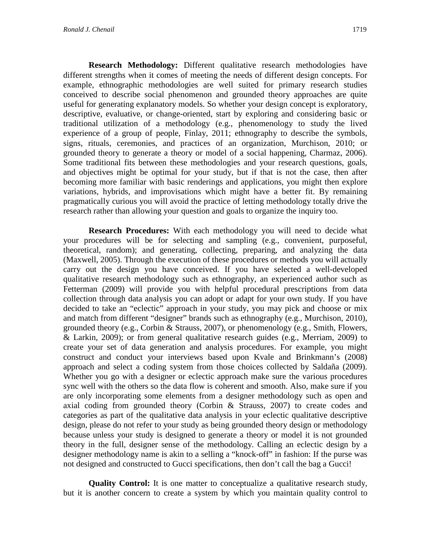**Research Methodology:** Different qualitative research methodologies have different strengths when it comes of meeting the needs of different design concepts. For example, ethnographic methodologies are well suited for primary research studies conceived to describe social phenomenon and grounded theory approaches are quite useful for generating explanatory models. So whether your design concept is exploratory, descriptive, evaluative, or change-oriented, start by exploring and considering basic or traditional utilization of a methodology (e.g., phenomenology to study the lived experience of a group of people, Finlay, 2011; ethnography to describe the symbols, signs, rituals, ceremonies, and practices of an organization, Murchison, 2010; or grounded theory to generate a theory or model of a social happening, Charmaz, 2006). Some traditional fits between these methodologies and your research questions, goals, and objectives might be optimal for your study, but if that is not the case, then after becoming more familiar with basic renderings and applications, you might then explore variations, hybrids, and improvisations which might have a better fit. By remaining pragmatically curious you will avoid the practice of letting methodology totally drive the research rather than allowing your question and goals to organize the inquiry too.

**Research Procedures:** With each methodology you will need to decide what your procedures will be for selecting and sampling (e.g., convenient, purposeful, theoretical, random); and generating, collecting, preparing, and analyzing the data (Maxwell, 2005). Through the execution of these procedures or methods you will actually carry out the design you have conceived. If you have selected a well-developed qualitative research methodology such as ethnography, an experienced author such as Fetterman (2009) will provide you with helpful procedural prescriptions from data collection through data analysis you can adopt or adapt for your own study. If you have decided to take an "eclectic" approach in your study, you may pick and choose or mix and match from different "designer" brands such as ethnography (e.g., Murchison, 2010), grounded theory (e.g., Corbin & Strauss, 2007), or phenomenology (e.g., Smith, Flowers, & Larkin, 2009); or from general qualitative research guides (e.g., Merriam, 2009) to create your set of data generation and analysis procedures. For example, you might construct and conduct your interviews based upon Kvale and Brinkmann's (2008) approach and select a coding system from those choices collected by Saldaña (2009). Whether you go with a designer or eclectic approach make sure the various procedures sync well with the others so the data flow is coherent and smooth. Also, make sure if you are only incorporating some elements from a designer methodology such as open and axial coding from grounded theory (Corbin & Strauss, 2007) to create codes and categories as part of the qualitative data analysis in your eclectic qualitative descriptive design, please do not refer to your study as being grounded theory design or methodology because unless your study is designed to generate a theory or model it is not grounded theory in the full, designer sense of the methodology. Calling an eclectic design by a designer methodology name is akin to a selling a "knock-off" in fashion: If the purse was not designed and constructed to Gucci specifications, then don't call the bag a Gucci!

**Quality Control:** It is one matter to conceptualize a qualitative research study, but it is another concern to create a system by which you maintain quality control to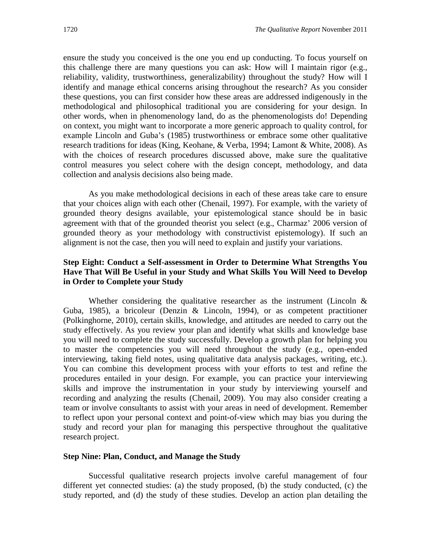ensure the study you conceived is the one you end up conducting. To focus yourself on this challenge there are many questions you can ask: How will I maintain rigor (e.g., reliability, validity, trustworthiness, generalizability) throughout the study? How will I identify and manage ethical concerns arising throughout the research? As you consider these questions, you can first consider how these areas are addressed indigenously in the methodological and philosophical traditional you are considering for your design. In other words, when in phenomenology land, do as the phenomenologists do! Depending on context, you might want to incorporate a more generic approach to quality control, for example Lincoln and Guba's (1985) trustworthiness or embrace some other qualitative research traditions for ideas (King, Keohane, & Verba, 1994; Lamont & White, 2008). As with the choices of research procedures discussed above, make sure the qualitative control measures you select cohere with the design concept, methodology, and data collection and analysis decisions also being made.

As you make methodological decisions in each of these areas take care to ensure that your choices align with each other (Chenail, 1997). For example, with the variety of grounded theory designs available, your epistemological stance should be in basic agreement with that of the grounded theorist you select (e.g., Charmaz' 2006 version of grounded theory as your methodology with constructivist epistemology). If such an alignment is not the case, then you will need to explain and justify your variations.

# **Step Eight: Conduct a Self-assessment in Order to Determine What Strengths You Have That Will Be Useful in your Study and What Skills You Will Need to Develop in Order to Complete your Study**

Whether considering the qualitative researcher as the instrument (Lincoln  $\&$ Guba, 1985), a bricoleur (Denzin & Lincoln, 1994), or as competent practitioner (Polkinghorne, 2010), certain skills, knowledge, and attitudes are needed to carry out the study effectively. As you review your plan and identify what skills and knowledge base you will need to complete the study successfully. Develop a growth plan for helping you to master the competencies you will need throughout the study (e.g., open-ended interviewing, taking field notes, using qualitative data analysis packages, writing, etc.). You can combine this development process with your efforts to test and refine the procedures entailed in your design. For example, you can practice your interviewing skills and improve the instrumentation in your study by interviewing yourself and recording and analyzing the results (Chenail, 2009). You may also consider creating a team or involve consultants to assist with your areas in need of development. Remember to reflect upon your personal context and point-of-view which may bias you during the study and record your plan for managing this perspective throughout the qualitative research project.

#### **Step Nine: Plan, Conduct, and Manage the Study**

Successful qualitative research projects involve careful management of four different yet connected studies: (a) the study proposed, (b) the study conducted, (c) the study reported, and (d) the study of these studies. Develop an action plan detailing the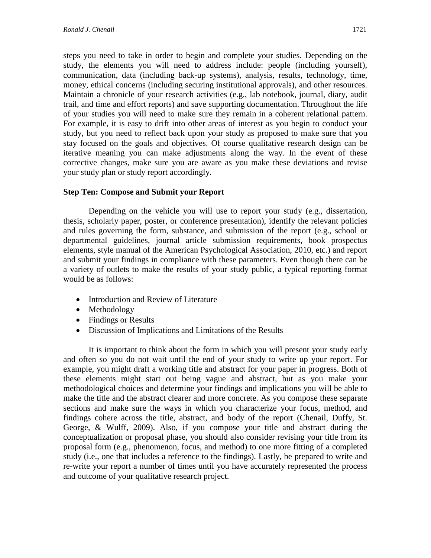steps you need to take in order to begin and complete your studies. Depending on the study, the elements you will need to address include: people (including yourself), communication, data (including back-up systems), analysis, results, technology, time, money, ethical concerns (including securing institutional approvals), and other resources. Maintain a chronicle of your research activities (e.g., lab notebook, journal, diary, audit trail, and time and effort reports) and save supporting documentation. Throughout the life of your studies you will need to make sure they remain in a coherent relational pattern. For example, it is easy to drift into other areas of interest as you begin to conduct your study, but you need to reflect back upon your study as proposed to make sure that you stay focused on the goals and objectives. Of course qualitative research design can be iterative meaning you can make adjustments along the way. In the event of these corrective changes, make sure you are aware as you make these deviations and revise your study plan or study report accordingly.

# **Step Ten: Compose and Submit your Report**

Depending on the vehicle you will use to report your study (e.g., dissertation, thesis, scholarly paper, poster, or conference presentation), identify the relevant policies and rules governing the form, substance, and submission of the report (e.g., school or departmental guidelines, journal article submission requirements, book prospectus elements, style manual of the American Psychological Association, 2010, etc.) and report and submit your findings in compliance with these parameters. Even though there can be a variety of outlets to make the results of your study public, a typical reporting format would be as follows:

- Introduction and Review of Literature
- Methodology
- Findings or Results
- Discussion of Implications and Limitations of the Results

It is important to think about the form in which you will present your study early and often so you do not wait until the end of your study to write up your report. For example, you might draft a working title and abstract for your paper in progress. Both of these elements might start out being vague and abstract, but as you make your methodological choices and determine your findings and implications you will be able to make the title and the abstract clearer and more concrete. As you compose these separate sections and make sure the ways in which you characterize your focus, method, and findings cohere across the title, abstract, and body of the report (Chenail, Duffy, St. George, & Wulff, 2009). Also, if you compose your title and abstract during the conceptualization or proposal phase, you should also consider revising your title from its proposal form (e.g., phenomenon, focus, and method) to one more fitting of a completed study (i.e., one that includes a reference to the findings). Lastly, be prepared to write and re-write your report a number of times until you have accurately represented the process and outcome of your qualitative research project.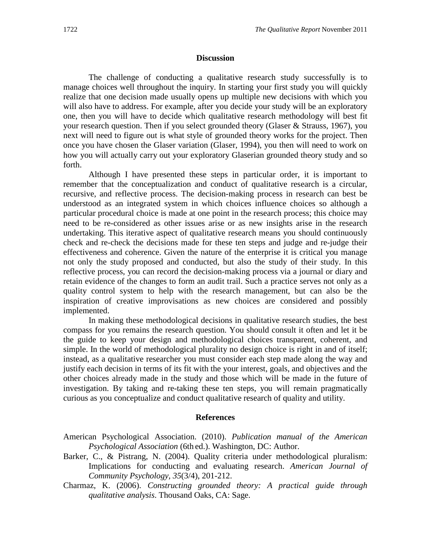#### **Discussion**

The challenge of conducting a qualitative research study successfully is to manage choices well throughout the inquiry. In starting your first study you will quickly realize that one decision made usually opens up multiple new decisions with which you will also have to address. For example, after you decide your study will be an exploratory one, then you will have to decide which qualitative research methodology will best fit your research question. Then if you select grounded theory (Glaser & Strauss, 1967), you next will need to figure out is what style of grounded theory works for the project. Then once you have chosen the Glaser variation (Glaser, 1994), you then will need to work on how you will actually carry out your exploratory Glaserian grounded theory study and so forth.

Although I have presented these steps in particular order, it is important to remember that the conceptualization and conduct of qualitative research is a circular, recursive, and reflective process. The decision-making process in research can best be understood as an integrated system in which choices influence choices so although a particular procedural choice is made at one point in the research process; this choice may need to be re-considered as other issues arise or as new insights arise in the research undertaking. This iterative aspect of qualitative research means you should continuously check and re-check the decisions made for these ten steps and judge and re-judge their effectiveness and coherence. Given the nature of the enterprise it is critical you manage not only the study proposed and conducted, but also the study of their study. In this reflective process, you can record the decision-making process via a journal or diary and retain evidence of the changes to form an audit trail. Such a practice serves not only as a quality control system to help with the research management, but can also be the inspiration of creative improvisations as new choices are considered and possibly implemented.

In making these methodological decisions in qualitative research studies, the best compass for you remains the research question. You should consult it often and let it be the guide to keep your design and methodological choices transparent, coherent, and simple. In the world of methodological plurality no design choice is right in and of itself; instead, as a qualitative researcher you must consider each step made along the way and justify each decision in terms of its fit with the your interest, goals, and objectives and the other choices already made in the study and those which will be made in the future of investigation. By taking and re-taking these ten steps, you will remain pragmatically curious as you conceptualize and conduct qualitative research of quality and utility.

#### **References**

American Psychological Association. (2010). *Publication manual of the American Psychological Association* (6th ed.). Washington, DC: Author.

- Barker, C., & Pistrang, N. (2004). Quality criteria under methodological pluralism: Implications for conducting and evaluating research. *American Journal of Community Psychology, 35*(3/4), 201-212.
- Charmaz, K. (2006). *Constructing grounded theory: A practical guide through qualitative analysis*. Thousand Oaks, CA: Sage.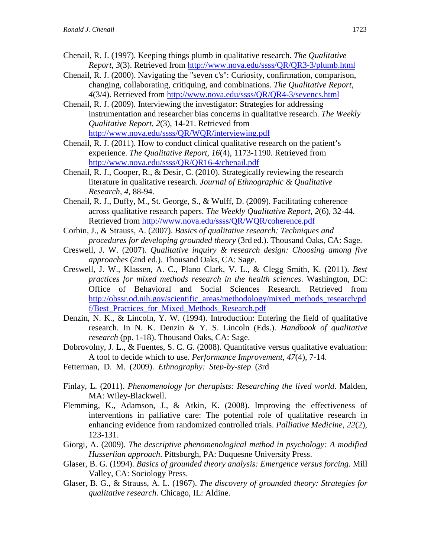- Chenail, R. J. (1997). Keeping things plumb in qualitative research. *The Qualitative Report*, *3*(3). Retrieved from<http://www.nova.edu/ssss/QR/QR3-3/plumb.html>
- Chenail, R. J. (2000). Navigating the "seven c's": Curiosity, confirmation, comparison, changing, collaborating, critiquing, and combinations. *The Qualitative Report*, *4*(3/4). Retrieved from<http://www.nova.edu/ssss/QR/QR4-3/sevencs.html>
- Chenail, R. J. (2009). Interviewing the investigator: Strategies for addressing instrumentation and researcher bias concerns in qualitative research. *The Weekly Qualitative Report*, *2*(3), 14-21. Retrieved from <http://www.nova.edu/ssss/QR/WQR/interviewing.pdf>
- Chenail, R. J. (2011). How to conduct clinical qualitative research on the patient's experience. *The Qualitative Report*, *16*(4), 1173-1190. Retrieved from <http://www.nova.edu/ssss/QR/QR16-4/chenail.pdf>
- Chenail, R. J., Cooper, R., & Desir, C. (2010). Strategically reviewing the research literature in qualitative research. *[Journal of Ethnographic & Qualitative](http://www.cedarville.edu/academics/education/eqrc/journal/journal.htm)  [Research,](http://www.cedarville.edu/academics/education/eqrc/journal/journal.htm) 4*, 88-94.
- Chenail, R. J., Duffy, M., St. George, S., & Wulff, D. (2009). Facilitating coherence across qualitative research papers. *The Weekly Qualitative Report*, *2*(6), 32-44. Retrieved from<http://www.nova.edu/ssss/QR/WQR/coherence.pdf>
- Corbin, J., & Strauss, A. (2007). *Basics of qualitative research: Techniques and procedures for developing grounded theory* (3rd ed.). Thousand Oaks, CA: Sage.
- Creswell, J. W. (2007). *Qualitative inquiry & research design: Choosing among five approaches* (2nd ed.). Thousand Oaks, CA: Sage.
- Creswell, J. W., Klassen, A. C., Plano Clark, V. L., & Clegg Smith, K. (2011). *Best practices for mixed methods research in the health sciences*. Washington, DC: Office of Behavioral and Social Sciences Research. Retrieved from [http://obssr.od.nih.gov/scientific\\_areas/methodology/mixed\\_methods\\_research/pd](http://obssr.od.nih.gov/scientific_areas/methodology/mixed_methods_research/pdf/Best_Practices_for_Mixed_Methods_Research.pdf) f/Best Practices for Mixed Methods Research.pdf
- Denzin, N. K., & Lincoln, Y. W. (1994). Introduction: Entering the field of qualitative research. In N. K. Denzin & Y. S. Lincoln (Eds.). *Handbook of qualitative research* (pp. 1-18). Thousand Oaks, CA: Sage.
- Dobrovolny, J. L., & Fuentes, S. C. G. (2008). Quantitative versus qualitative evaluation: A tool to decide which to use. *Performance Improvement, 47*(4), 7-14.
- Fetterman, D. M. (2009). *Ethnography: Step-by-step* (3rd
- Finlay, L. (2011). *Phenomenology for therapists: Researching the lived world*. Malden, MA: Wiley-Blackwell.
- Flemming, K., Adamson, J., & Atkin, K. (2008). Improving the effectiveness of interventions in palliative care: The potential role of qualitative research in enhancing evidence from randomized controlled trials. *Palliative Medicine, 22*(2), 123-131.
- Giorgi, A. (2009). *The descriptive phenomenological method in psychology: A modified Husserlian approach*. Pittsburgh, PA: Duquesne University Press.
- Glaser, B. G. (1994). *Basics of grounded theory analysis: Emergence versus forcing*. Mill Valley, CA: Sociology Press.
- Glaser, B. G., & Strauss, A. L. (1967). *The discovery of grounded theory: Strategies for qualitative research*. Chicago, IL: Aldine.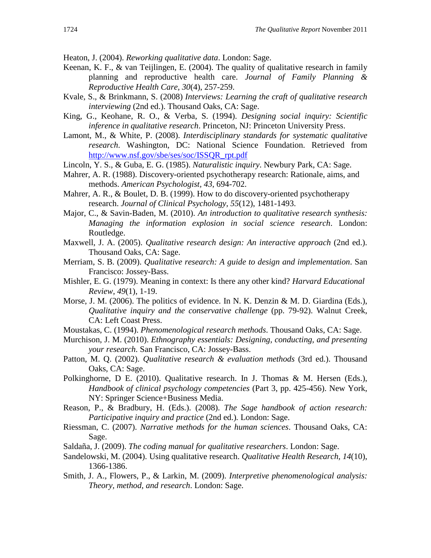Heaton, J. (2004). *Reworking qualitative data*. London: Sage.

- Keenan, K. F., & van Teijlingen, E. (2004). The quality of qualitative research in family planning and reproductive health care. *Journal of Family Planning & Reproductive Health Care, 30*(4), 257-259.
- Kvale, S., & Brinkmann, S. (2008) *Interviews: Learning the craft of qualitative research interviewing* (2nd ed.). Thousand Oaks, CA: Sage.
- King, G., Keohane, R. O., & Verba, S. (1994). *Designing social inquiry: Scientific inference in qualitative research*. Princeton, NJ: Princeton University Press.
- Lamont, M., & White, P. (2008). *Interdisciplinary standards for systematic qualitative research*. Washington, DC: National Science Foundation. Retrieved from [http://www.nsf.gov/sbe/ses/soc/ISSQR\\_rpt.pdf](http://www.nsf.gov/sbe/ses/soc/ISSQR_rpt.pdf)
- Lincoln, Y. S., & Guba, E. G. (1985). *Naturalistic inquiry*. Newbury Park, CA: Sage.
- Mahrer, A. R. (1988). Discovery-oriented psychotherapy research: Rationale, aims, and methods. *American Psychologist, 43*, 694-702.
- Mahrer, A. R., & Boulet, D. B. (1999). How to do discovery-oriented psychotherapy research. *Journal of Clinical Psychology, 55*(12), 1481-1493.
- Major, C., & Savin-Baden, M. (2010). *An introduction to qualitative research synthesis: Managing the information explosion in social science research*. London: Routledge.
- Maxwell, J. A. (2005). *Qualitative research design: An interactive approach* (2nd ed.). Thousand Oaks, CA: Sage.
- Merriam, S. B. (2009). *Qualitative research: A guide to design and implementation*. San Francisco: Jossey-Bass.
- Mishler, E. G. (1979). Meaning in context: Is there any other kind? *Harvard Educational Review, 49*(1), 1-19.
- Morse, J. M. (2006). The politics of evidence. In N. K. Denzin & M. D. Giardina (Eds.), *Qualitative inquiry and the conservative challenge* (pp. 79-92). Walnut Creek, CA: Left Coast Press.
- Moustakas, C. (1994). *Phenomenological research methods*. Thousand Oaks, CA: Sage.
- Murchison, J. M. (2010). *Ethnography essentials: Designing, conducting, and presenting your research*. San Francisco, CA: Jossey-Bass.
- Patton, M. Q. (2002). *Qualitative research & evaluation methods* (3rd ed.). Thousand Oaks, CA: Sage.
- Polkinghorne, D E. (2010). Qualitative research. In J. Thomas & M. Hersen (Eds.), *Handbook of clinical psychology competencies* (Part 3, pp. 425-456). New York, NY: Springer Science+Business Media.
- Reason, P., & Bradbury, H. (Eds.). (2008). *The Sage handbook of action research: Participative inquiry and practice* (2nd ed.)*.* London: Sage.
- Riessman, C. (2007). *Narrative methods for the human sciences*. Thousand Oaks, CA: Sage.
- Saldaña, J. (2009). *The coding manual for qualitative researchers*. London: Sage.
- Sandelowski, M. (2004). Using qualitative research. *Qualitative Health Research, 14*(10), 1366-1386.
- Smith, J. A., Flowers, P., & Larkin, M. (2009). *Interpretive phenomenological analysis: Theory, method, and research*. London: Sage.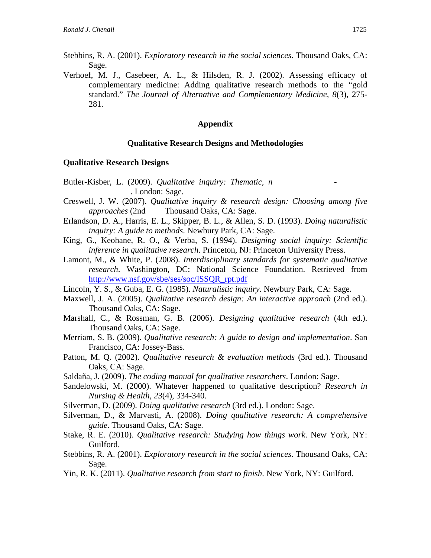- Stebbins, R. A. (2001). *Exploratory research in the social sciences*. Thousand Oaks, CA: Sage.
- Verhoef, M. J., Casebeer, A. L., & Hilsden, R. J. (2002). Assessing efficacy of complementary medicine: Adding qualitative research methods to the "gold standard." *The Journal of Alternative and Complementary Medicine, 8*(3), 275- 281.

## **Appendix**

#### **Qualitative Research Designs and Methodologies**

#### **Qualitative Research Designs**

- Butler-Kisber, L. (2009). *Qualitative inquiry: Thematic, n -* . London: Sage.
- Creswell, J. W. (2007). *Qualitative inquiry & research design: Choosing among five approaches* (2nd Thousand Oaks, CA: Sage.
- Erlandson, D. A., Harris, E. L., Skipper, B. L., & Allen, S. D. (1993). *Doing naturalistic inquiry: A guide to methods*. Newbury Park, CA: Sage.
- King, G., Keohane, R. O., & Verba, S. (1994). *Designing social inquiry: Scientific inference in qualitative research*. Princeton, NJ: Princeton University Press.
- Lamont, M., & White, P. (2008). *Interdisciplinary standards for systematic qualitative research*. Washington, DC: National Science Foundation. Retrieved from [http://www.nsf.gov/sbe/ses/soc/ISSQR\\_rpt.pdf](http://www.nsf.gov/sbe/ses/soc/ISSQR_rpt.pdf)
- Lincoln, Y. S., & Guba, E. G. (1985). *Naturalistic inquiry*. Newbury Park, CA: Sage.
- Maxwell, J. A. (2005). *Qualitative research design: An interactive approach* (2nd ed.). Thousand Oaks, CA: Sage.
- Marshall, C., & Rossman, G. B. (2006). *Designing qualitative research* (4th ed.). Thousand Oaks, CA: Sage.
- Merriam, S. B. (2009). *Qualitative research: A guide to design and implementation*. San Francisco, CA: Jossey-Bass.
- Patton, M. Q. (2002). *Qualitative research & evaluation methods* (3rd ed.). Thousand Oaks, CA: Sage.
- Saldaña, J. (2009). *The coding manual for qualitative researchers*. London: Sage.
- Sandelowski, M. (2000). Whatever happened to qualitative description? *Research in Nursing & Health, 23*(4), 334-340.
- Silverman, D. (2009). *Doing qualitative research* (3rd ed.). London: Sage.
- Silverman, D., & Marvasti, A. (2008). *Doing qualitative research: A comprehensive guide*. Thousand Oaks, CA: Sage.
- Stake, R. E. (2010). *Qualitative research: Studying how things work*. New York, NY: Guilford.
- Stebbins, R. A. (2001). *Exploratory research in the social sciences*. Thousand Oaks, CA: Sage.
- Yin, R. K. (2011). *Qualitative research from start to finish*. New York, NY: Guilford.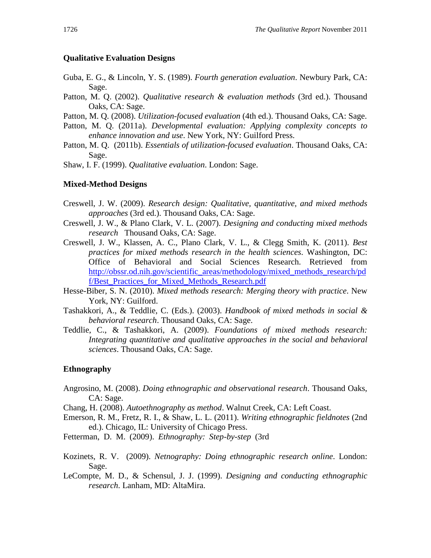# **Qualitative Evaluation Designs**

- Guba, E. G., & Lincoln, Y. S. (1989). *Fourth generation evaluation*. Newbury Park, CA: Sage.
- Patton, M. Q. (2002). *Qualitative research & evaluation methods* (3rd ed.). Thousand Oaks, CA: Sage.
- Patton, M. Q. (2008). *Utilization-focused evaluation* (4th ed.). Thousand Oaks, CA: Sage.
- Patton, M. Q. (2011a). *Developmental evaluation: Applying complexity concepts to enhance innovation and use*. New York, NY: Guilford Press.
- Patton, M. Q. (2011b). *Essentials of utilization-focused evaluation*. Thousand Oaks, CA: Sage.

Shaw, I. F. (1999). *Qualitative evaluation*. London: Sage.

#### **Mixed-Method Designs**

- Creswell, J. W. (2009). *Research design: Qualitative, quantitative, and mixed methods approaches* (3rd ed.). Thousand Oaks, CA: Sage.
- Creswell, J. W., & Plano Clark, V. L. (2007). *Designing and conducting mixed methods research* Thousand Oaks, CA: Sage.
- Creswell, J. W., Klassen, A. C., Plano Clark, V. L., & Clegg Smith, K. (2011). *Best practices for mixed methods research in the health sciences*. Washington, DC: Office of Behavioral and Social Sciences Research. Retrieved from [http://obssr.od.nih.gov/scientific\\_areas/methodology/mixed\\_methods\\_research/pd](http://obssr.od.nih.gov/scientific_areas/methodology/mixed_methods_research/pdf/Best_Practices_for_Mixed_Methods_Research.pdf) f/Best Practices for Mixed Methods Research.pdf
- Hesse-Biber, S. N. (2010). *Mixed methods research: Merging theory with practice*. New York, NY: Guilford.
- Tashakkori, A., & Teddlie, C. (Eds.). (2003). *Handbook of mixed methods in social & behavioral research*. Thousand Oaks, CA: Sage.
- Teddlie, C., & Tashakkori, A. (2009). *Foundations of mixed methods research: Integrating quantitative and qualitative approaches in the social and behavioral sciences*. Thousand Oaks, CA: Sage.

# **Ethnography**

- Angrosino, M. (2008). *Doing ethnographic and observational research*. Thousand Oaks, CA: Sage.
- Chang, H. (2008). *Autoethnography as method*. Walnut Creek, CA: Left Coast.
- Emerson, R. M., Fretz, R. I., & Shaw, L. L. (2011). *Writing ethnographic fieldnotes* (2nd ed.). Chicago, IL: University of Chicago Press.
- Fetterman, D. M. (2009). *Ethnography: Step-by-step* (3rd
- Kozinets, R. V. (2009). *Netnography: Doing ethnographic research online*. London: Sage.
- LeCompte, M. D., & Schensul, J. J. (1999). *Designing and conducting ethnographic research*. Lanham, MD: AltaMira.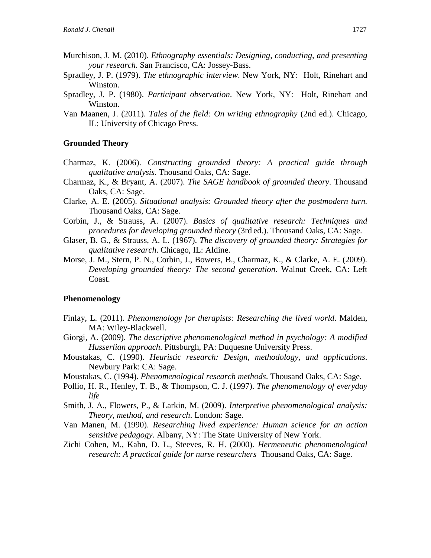- Murchison, J. M. (2010). *Ethnography essentials: Designing, conducting, and presenting your research*. San Francisco, CA: Jossey-Bass.
- Spradley, J. P. (1979). *The ethnographic interview*. New York, NY: Holt, Rinehart and Winston.
- Spradley, J. P. (1980). *Participant observation*. New York, NY: Holt, Rinehart and Winston.
- Van Maanen, J. (2011). *Tales of the field: On writing ethnography* (2nd ed.). Chicago, IL: University of Chicago Press.

#### **Grounded Theory**

- Charmaz, K. (2006). *Constructing grounded theory: A practical guide through qualitative analysis*. Thousand Oaks, CA: Sage.
- Charmaz, K., & Bryant, A. (2007). *The SAGE handbook of grounded theory*. Thousand Oaks, CA: Sage.
- Clarke, A. E. (2005). *Situational analysis: Grounded theory after the postmodern turn.*  Thousand Oaks, CA: Sage.
- Corbin, J., & Strauss, A. (2007). *Basics of qualitative research: Techniques and procedures for developing grounded theory* (3rd ed.). Thousand Oaks, CA: Sage.
- Glaser, B. G., & Strauss, A. L. (1967). *The discovery of grounded theory: Strategies for qualitative research*. Chicago, IL: Aldine.
- Morse, J. M., Stern, P. N., Corbin, J., Bowers, B., Charmaz, K., & Clarke, A. E. (2009). *Developing grounded theory: The second generation*. Walnut Creek, CA: Left Coast.

#### **Phenomenology**

- Finlay, L. (2011). *Phenomenology for therapists: Researching the lived world*. Malden, MA: Wiley-Blackwell.
- Giorgi, A. (2009). *The descriptive phenomenological method in psychology: A modified Husserlian approach*. Pittsburgh, PA: Duquesne University Press.
- Moustakas, C. (1990). *Heuristic research: Design, methodology, and applications*. Newbury Park: CA: Sage.
- Moustakas, C. (1994). *Phenomenological research methods*. Thousand Oaks, CA: Sage.
- Pollio, H. R., Henley, T. B., & Thompson, C. J. (1997). *The phenomenology of everyday life*
- Smith, J. A., Flowers, P., & Larkin, M. (2009). *Interpretive phenomenological analysis: Theory, method, and research*. London: Sage.
- Van Manen, M. (1990). *Researching lived experience: Human science for an action sensitive pedagogy*. Albany, NY: The State University of New York.
- Zichi Cohen, M., Kahn, D. L., Steeves, R. H. (2000). *Hermeneutic phenomenological research: A practical guide for nurse researchers* Thousand Oaks, CA: Sage.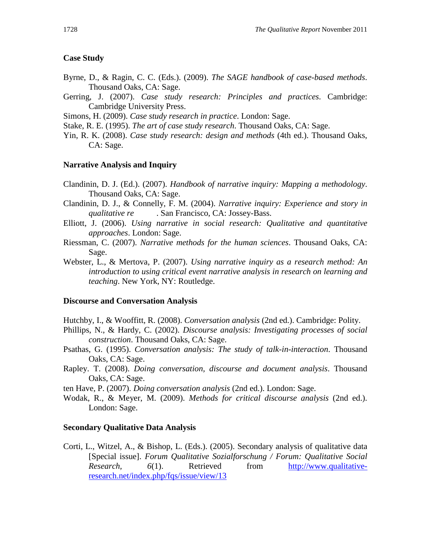# **Case Study**

- Byrne, D., & Ragin, C. C. (Eds.). (2009). *The SAGE handbook of case-based methods*. Thousand Oaks, CA: Sage.
- Gerring, J. (2007). *Case study research: Principles and practices*. Cambridge: Cambridge University Press.
- Simons, H. (2009). *Case study research in practice*. London: Sage.
- Stake, R. E. (1995). *The art of case study research*. Thousand Oaks, CA: Sage.
- Yin, R. K. (2008). *Case study research: design and methods* (4th ed.). Thousand Oaks, CA: Sage.

#### **Narrative Analysis and Inquiry**

- Clandinin, D. J. (Ed.). (2007). *Handbook of narrative inquiry: Mapping a methodology*. Thousand Oaks, CA: Sage.
- Clandinin, D. J., & Connelly, F. M. (2004). *Narrative inquiry: Experience and story in qualitative re* . San Francisco, CA: Jossey-Bass.
- Elliott, J. (2006). *Using narrative in social research: Qualitative and quantitative approaches*. London: Sage.
- Riessman, C. (2007). *Narrative methods for the human sciences*. Thousand Oaks, CA: Sage.
- Webster, L., & Mertova, P. (2007). *Using narrative inquiry as a research method: An introduction to using critical event narrative analysis in research on learning and teaching*. New York, NY: Routledge.

#### **Discourse and Conversation Analysis**

Hutchby, I., & Wooffitt, R. (2008). *Conversation analysis* (2nd ed.). Cambridge: Polity.

- Phillips, N., & Hardy, C. (2002). *Discourse analysis: Investigating processes of social construction*. Thousand Oaks, CA: Sage.
- Psathas, G. (1995). *Conversation analysis: The study of talk-in-interaction*. Thousand Oaks, CA: Sage.
- Rapley. T. (2008). *Doing conversation, discourse and document analysis*. Thousand Oaks, CA: Sage.
- ten Have, P. (2007). *Doing conversation analysis* (2nd ed.). London: Sage.
- Wodak, R., & Meyer, M. (2009). *Methods for critical discourse analysis* (2nd ed.). London: Sage.

#### **Secondary Qualitative Data Analysis**

Corti, L., Witzel, A., & Bishop, L. (Eds.). (2005). Secondary analysis of qualitative data [Special issue]. *Forum Qualitative Sozialforschung / Forum: Qualitative Social Research,* 6(1). Retrieved from [http://www.qualitative](http://www.qualitative-research.net/index.php/fqs/issue/view/13)[research.net/index.php/fqs/issue/view/13](http://www.qualitative-research.net/index.php/fqs/issue/view/13)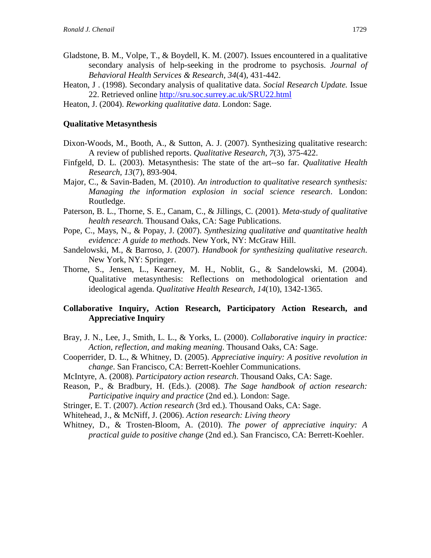- Gladstone, B. M., Volpe, T., & Boydell, K. M. (2007). Issues encountered in a qualitative secondary analysis of help-seeking in the prodrome to psychosis. *Journal of Behavioral Health Services & Research, 34*(4), 431-442.
- Heaton, J . (1998). Secondary analysis of qualitative data. *Social Research Update.* Issue 22. Retrieved online<http://sru.soc.surrey.ac.uk/SRU22.html>
- Heaton, J. (2004). *Reworking qualitative data*. London: Sage.

#### **Qualitative Metasynthesis**

- Dixon-Woods, M., Booth, A., & Sutton, A. J. (2007). Synthesizing qualitative research: A review of published reports. *Qualitative Research*, *7*(3), 375-422.
- Finfgeld, D. L. (2003). Metasynthesis: The state of the art--so far. *Qualitative Health Research, 13*(7), 893-904.
- Major, C., & Savin-Baden, M. (2010). *An introduction to qualitative research synthesis: Managing the information explosion in social science research*. London: Routledge.
- Paterson, B. L., Thorne, S. E., Canam, C., & Jillings, C. (2001). *Meta-study of qualitative health research.* Thousand Oaks, CA: Sage Publications.
- Pope, C., Mays, N., & Popay, J. (2007). *Synthesizing qualitative and quantitative health evidence: A guide to methods*. New York, NY: McGraw Hill.
- Sandelowski, M., & Barroso, J. (2007). *Handbook for synthesizing qualitative research*. New York, NY: Springer.
- Thorne, S., Jensen, L., Kearney, M. H., Noblit, G., & Sandelowski, M. (2004). Qualitative metasynthesis: Reflections on methodological orientation and ideological agenda. *Qualitative Health Research, 14*(10), 1342-1365.

# **Collaborative Inquiry, Action Research, Participatory Action Research, and Appreciative Inquiry**

- Bray, J. N., Lee, J., Smith, L. L., & Yorks, L. (2000). *Collaborative inquiry in practice: Action, reflection, and making meaning*. Thousand Oaks, CA: Sage.
- Cooperrider, D. L., & Whitney, D. (2005). *Appreciative inquiry: A positive revolution in change*. San Francisco, CA: Berrett-Koehler Communications.
- McIntyre, A. (2008). *Participatory action research*. Thousand Oaks, CA: Sage.
- Reason, P., & Bradbury, H. (Eds.). (2008). *The Sage handbook of action research: Participative inquiry and practice* (2nd ed.)*.* London: Sage.
- Stringer, E. T. (2007). *Action research* (3rd ed.). Thousand Oaks, CA: Sage.
- Whitehead, J., & McNiff, J. (2006). *Action research: Living theory*
- Whitney, D., & Trosten-Bloom, A. (2010). *The power of appreciative inquiry: A practical guide to positive change* (2nd ed.)*.* San Francisco, CA: Berrett-Koehler.